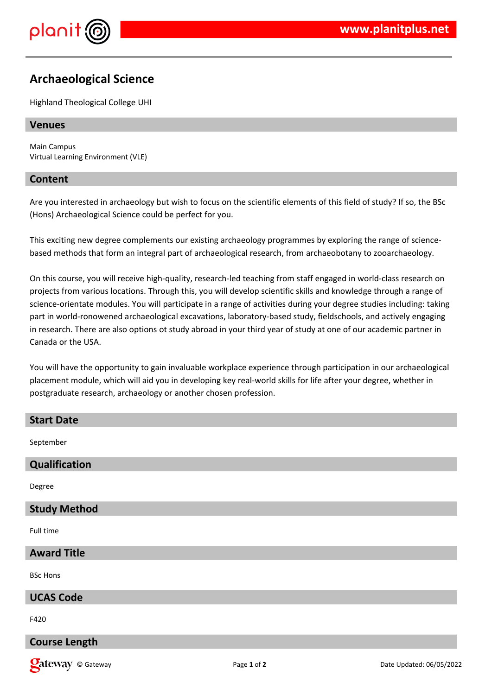

# **Archaeological Science**

Highland Theological College UHI

# **Venues**

Main Campus Virtual Learning Environment (VLE)

### **Content**

Are you interested in archaeology but wish to focus on the scientific elements of this field of study? If so, the BSc (Hons) Archaeological Science could be perfect for you.

This exciting new degree complements our existing archaeology programmes by exploring the range of sciencebased methods that form an integral part of archaeological research, from archaeobotany to zooarchaeology.

On this course, you will receive high-quality, research-led teaching from staff engaged in world-class research on projects from various locations. Through this, you will develop scientific skills and knowledge through a range of science-orientate modules. You will participate in a range of activities during your degree studies including: taking part in world-ronowened archaeological excavations, laboratory-based study, fieldschools, and actively engaging in research. There are also options ot study abroad in your third year of study at one of our academic partner in Canada or the USA.

You will have the opportunity to gain invaluable workplace experience through participation in our archaeological placement module, which will aid you in developing key real-world skills for life after your degree, whether in postgraduate research, archaeology or another chosen profession.

| <b>Start Date</b>   |
|---------------------|
| September           |
| Qualification       |
| Degree              |
| <b>Study Method</b> |
| Full time           |
| <b>Award Title</b>  |
| <b>BSc Hons</b>     |
| <b>UCAS Code</b>    |
| F420                |

**Course Length**